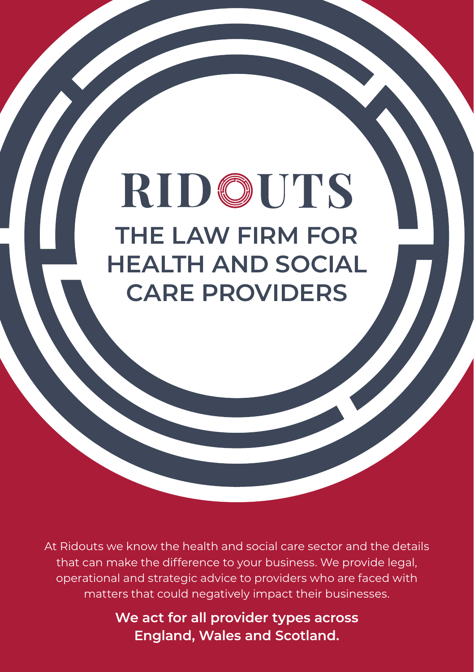## RIDOUTS **THE LAW FIRM FOR HEALTH AND SOCIAL CARE PROVIDERS**

At Ridouts we know the health and social care sector and the details that can make the difference to your business. We provide legal, operational and strategic advice to providers who are faced with matters that could negatively impact their businesses.

> **We act for all provider types across England, Wales and Scotland.**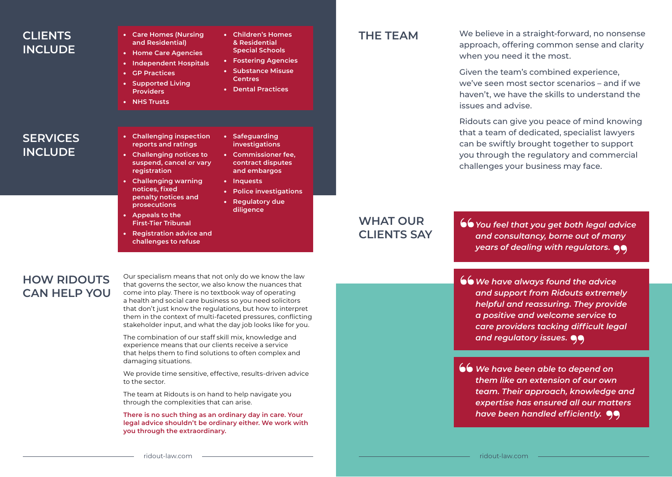# **INCLUDE**

**SERVICES INCLUDE**

- **CLIENTS** Care Homes (Nursing Children's Homes and Decidential **THE TEAM and Residential)** 
	- **Home Care Agencies**
	- **Independent Hospitals**

• **Challenging inspection reports and ratings** • **Challenging notices to suspend, cancel or vary** 

• **Challenging warning notices, fixed penalty notices and prosecutions** • **Appeals to the First-Tier Tribunal** • **Registration advice and challenges to refuse**

- **GP Practices**
- **Supported Living Providers**
- **NHS Trusts**

**registration** 

- **Children's Homes & Residential Special Schools**
- **Fostering Agencies**  • **Substance Misuse**
- **Centres**

• **Safeguarding investigations** • **Commissioner fee, contract disputes and embargos**

• **Inquests**

• **Police investigations**  • **Regulatory due diligence**

• **Dental Practices**

We believe in a straight-forward, no nonsense approach, offering common sense and clarity when you need it the most.

Given the team's combined experience, we've seen most sector scenarios – and if we haven't, we have the skills to understand the issues and advise.

Ridouts can give you peace of mind knowing that a team of dedicated, specialist lawyers can be swiftly brought together to support you through the regulatory and commercial challenges your business may face.

### **WHAT OUR CLIENTS SAY**

*You feel that you get both legal advice and consultancy, borne out of many years of dealing with regulators.*

- *We have always found the advice and support from Ridouts extremely helpful and reassuring. They provide a positive and welcome service to care providers tacking difficult legal and regulatory issues.*
- *We have been able to depend on them like an extension of our own team. Their approach, knowledge and expertise has ensured all our matters have been handled efficiently.*

#### **HOW RIDOUTS CAN HELP YOU**

Our specialism means that not only do we know the law that governs the sector, we also know the nuances that come into play. There is no textbook way of operating a health and social care business so you need solicitors that don't just know the regulations, but how to interpret them in the context of multi-faceted pressures, conflicting stakeholder input, and what the day job looks like for you.

The combination of our staff skill mix, knowledge and experience means that our clients receive a service that helps them to find solutions to often complex and damaging situations.

We provide time sensitive, effective, results-driven advice to the sector.

The team at Ridouts is on hand to help navigate you through the complexities that can arise.

**There is no such thing as an ordinary day in care. Your legal advice shouldn't be ordinary either. We work with you through the extraordinary.**